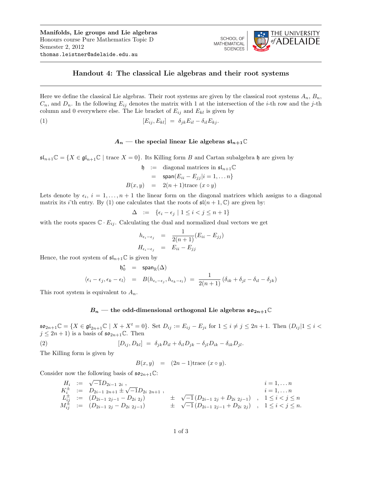<u>'HE UNIVERSITY</u>

**ADFIA** 



Here we define the classical Lie algebras. Their root systems are given by the classical root systems  $A_n$ ,  $B_n$ ,  $C_n$ , and  $D_n$ . In the following  $E_{ij}$  denotes the matrix with 1 at the intersection of the *i*-th row and the *j*-th column and 0 everywhere else. The Lie bracket of  $E_{ij}$  and  $E_{kl}$  is given by

(1)  $[E_{ij}, E_{kl}] = \delta_{jk} E_{il} - \delta_{il} E_{kj}$ .

## $A_n$  — the special linear Lie algebras  $\mathfrak{sl}_{n+1}\mathbb{C}$

$$
\mathfrak{sl}_{n+1}\mathbb{C} = \{X \in \mathfrak{gl}_{n+1}\mathbb{C} \mid \text{trace } X = 0\}.
$$
 Its Killing form B and Cartan subalgebra  $\mathfrak{h}$  are given by

$$
\begin{array}{rcl}\n\mathfrak{h} & := & \text{diagonal matrices in } \mathfrak{sl}_{n+1} \mathbb{C} \\
& = & \text{span}(E_{ii} - E_{jj}|i = 1, \dots n) \\
B(x, y) & = & 2(n+1)\text{trace } (x \circ y)\n\end{array}
$$

Lets denote by  $\epsilon_i$ ,  $i = 1, \ldots, n + 1$  the linear form on the diagonal matrices which assigns to a diagonal matrix its *i*'th entry. By (1) one calculates that the roots of  $\mathfrak{sl}(n+1,\mathbb{C})$  are given by:

$$
\Delta \quad := \quad \{ \epsilon_i - \epsilon_j \mid 1 \le i < j \le n+1 \}
$$

with the roots spaces  $\mathbb{C} \cdot E_{ij}$ . Calculating the dual and normalized dual vectors we get

$$
h_{\epsilon_i - \epsilon_j} = \frac{1}{2(n+1)} (E_{ii} - E_{jj})
$$
  

$$
H_{\epsilon_i - \epsilon_j} = E_{ii} - E_{jj}
$$

Hence, the root system of  $\mathfrak{sl}_{n+1}\mathbb{C}$  is given by

$$
\begin{array}{rcl}\n\mathfrak{h}_0^* & = & \mathsf{span}_{\mathbb{R}}(\Delta) \\
\langle \epsilon_i - \epsilon_j, \epsilon_k - \epsilon_l \rangle & = & B(h_{\epsilon_i - \epsilon_j}, h_{\epsilon_k - \epsilon_l}) = \frac{1}{2(n+1)} \left( \delta_{ik} + \delta_{jl} - \delta_{il} - \delta_{jk} \right)\n\end{array}
$$

This root system is equivalent to  $A_n$ .

## $B_n$  — the odd-dimensional orthogonal Lie algebras  $\mathfrak{so}_{2n+1}\mathbb{C}$

 $\mathfrak{so}_{2n+1}\mathbb{C} = \{X \in \mathfrak{gl}_{2n+1}\mathbb{C} \mid X + X^t = 0\}$ . Set  $D_{ij} := E_{ij} - E_{ji}$  for  $1 \leq i \neq j \leq 2n+1$ . Then  $(D_{ij}|1 \leq i < j \leq j\})$  $j \leq 2n+1$ ) is a basis of  $\mathfrak{so}_{2n+1}\mathbb{C}$ . Then

(2) 
$$
[D_{ij}, D_{kl}] = \delta_{jk} D_{il} + \delta_{il} D_{jk} - \delta_{jl} D_{ik} - \delta_{ik} D_{jl}.
$$

The Killing form is given by

$$
B(x, y) = (2n - 1) \text{trace } (x \circ y).
$$

Consider now the following basis of  $\mathfrak{so}_{2n+1}\mathbb{C}$ :

$$
H_i := \sqrt{-1}D_{2i-1 \ 2i}, \qquad i = 1,...n
$$
  
\n
$$
K_i^{\pm} := D_{2i-1 \ 2n+1} \pm \sqrt{-1}D_{2i \ 2n+1}, \qquad i = 1,...n
$$
  
\n
$$
L_{ij}^{\pm} := (D_{2i-1 \ 2j-1} - D_{2i \ 2j}) \pm \sqrt{-1}(D_{2i-1 \ 2j} + D_{2i \ 2j-1}), \quad 1 \le i < j \le n
$$
  
\n
$$
M_{ij}^{\pm} := (D_{2i-1 \ 2j} - D_{2i \ 2j-1}) \pm \sqrt{-1}(D_{2i-1 \ 2j-1} + D_{2i \ 2j}), \quad 1 \le i < j \le n.
$$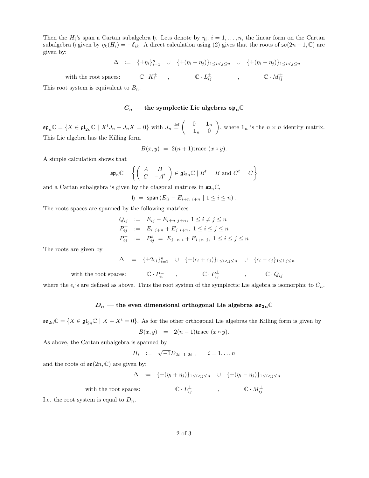Then the  $H_i$ 's span a Cartan subalgebra  $\mathfrak{h}$ . Lets denote by  $\eta_i$ ,  $i = 1, \ldots, n$ , the linear form on the Cartan subalgebra h given by  $\eta_k(H_i) = -\delta_{ik}$ . A direct calculation using (2) gives that the roots of  $\mathfrak{so}(2n+1,\mathbb{C})$  are given by:

$$
\Delta := \{\pm \eta_i\}_{i=1}^n \cup \{\pm (\eta_i + \eta_j)\}_{1 \leq i < j \leq n} \cup \{\pm (\eta_i - \eta_j)\}_{1 \leq i < j \leq n}
$$

with the root spaces:  $\begin{array}{cccc} \frac{\pm}{i} & , \hspace{1.5cm} & \mathbb{C} \cdot L^\pm_{ij} & , \hspace{1.5cm} & \mathbb{C} \cdot M^\pm_{ij} \end{array}$ 

This root system is equivalent to  $B_n$ .

## $C_n$  — the symplectic Lie algebras  $\mathfrak{sp}_n\mathbb{C}$

 $\mathfrak{sp}_n \mathbb{C} = \{ X \in \mathfrak{gl}_{2n} \mathbb{C} \mid X^t J_n + J_n X = 0 \}$  with  $J_n \stackrel{\text{def}}{=} \begin{pmatrix} 0 & \mathbf{1}_n \\ -\mathbf{1} & 0 \end{pmatrix}$  $-\mathbf{1}_n$  0 ), where  $\mathbf{1}_n$  is the  $n \times n$  identity matrix. This Lie algebra has the Killing form

 $B(x, y) = 2(n + 1)$ trace  $(x \circ y)$ .

A simple calculation shows that

$$
\mathfrak{sp}_n \mathbb{C} = \left\{ \left( \begin{array}{cc} A & B \\ C & -A^t \end{array} \right) \in \mathfrak{gl}_{2n} \mathbb{C} \mid B^t = B \text{ and } C^t = C \right\}
$$

and a Cartan subalgebra is given by the diagonal matrices in  $\mathfrak{sp}_n\mathbb{C}$ ,

 $\mathfrak{h} = \text{span} (E_{ii} - E_{i+n} | 1 \leq i \leq n).$ 

The roots spaces are spanned by the following matrices

$$
Q_{ij} := E_{ij} - E_{i+n j+n}, \ 1 \le i \ne j \le n
$$
  
\n
$$
P_{ij}^+ := E_{i j+n} + E_{j i+n}, \ 1 \le i \le j \le n
$$
  
\n
$$
P_{ij}^- := P_{ij}^t = E_{j+n i} + E_{i+n j}, \ 1 \le i \le j \le n
$$

The roots are given by

$$
\Delta := \{\pm 2\epsilon_i\}_{i=1}^n \cup \{\pm(\epsilon_i + \epsilon_j)\}_{1 \leq i < j \leq n} \cup \{\epsilon_i - \epsilon_j\}_{1 \leq i, j \leq n}
$$
\nwith the root spaces: 
$$
\mathbb{C} \cdot P_{ii}^{\pm} \quad , \quad \mathbb{C} \cdot P_{ij}^{\pm} \quad , \quad \mathbb{C} \cdot Q_{ij}
$$

where the  $\epsilon_i$ 's are defined as above. Thus the root system of the symplectic Lie algebra is isomorphic to  $C_n$ .

## $D_n$  — the even dimensional orthogonal Lie algebras  $\mathfrak{so}_{2n}\mathbb{C}$

 $\mathfrak{so}_{2n}\mathbb{C} = \{X \in \mathfrak{gl}_{2n}\mathbb{C} \mid X + X^t = 0\}.$  As for the other orthogonal Lie algebras the Killing form is given by  $B(x, y) = 2(n-1)$ trace  $(x \circ y)$ .

As above, the Cartan subalgebra is spanned by

$$
H_i := \sqrt{-1}D_{2i-1\ 2i}, \qquad i = 1, \ldots n
$$

and the roots of  $\mathfrak{so}(2n,\mathbb{C})$  are given by:

$$
\Delta := {\pm(\eta_i + \eta_j)}_{1 \leq i < j \leq n} \cup {\pm(\eta_i - \eta_j)}_{1 \leq i < j \leq n}
$$

with the root spaces:  $\frac{\pm}{ij}$ ,  $\mathbb{C} \cdot M_{ij}^{\pm}$ 

I.e. the root system is equal to  $D_n$ .